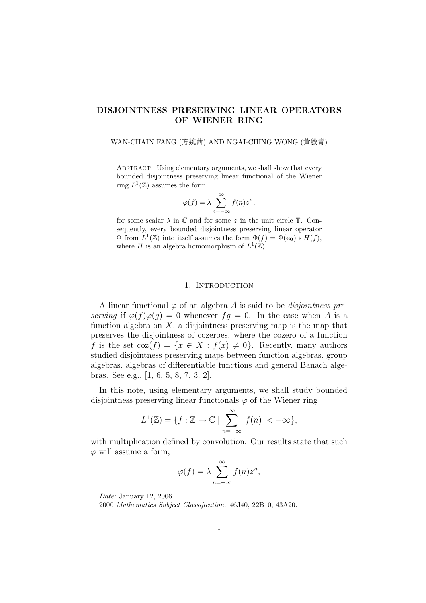## DISJOINTNESS PRESERVING LINEAR OPERATORS OF WIENER RING

#### WAN-CHAIN FANG (方婉茜) AND NGAI-CHING WONG (黃毅青)

ABSTRACT. Using elementary arguments, we shall show that every bounded disjointness preserving linear functional of the Wiener ring  $L^1(\mathbb{Z})$  assumes the form

$$
\varphi(f) = \lambda \sum_{n=-\infty}^{\infty} f(n) z^n,
$$

for some scalar  $\lambda$  in  $\mathbb C$  and for some z in the unit circle  $\mathbb T$ . Consequently, every bounded disjointness preserving linear operator  $\Phi$  from  $L^1(\mathbb{Z})$  into itself assumes the form  $\Phi(f) = \Phi(\mathbf{e_0}) * H(f)$ , where H is an algebra homomorphism of  $L^1(\mathbb{Z})$ .

#### 1. INTRODUCTION

A linear functional  $\varphi$  of an algebra A is said to be *disjointness pre*serving if  $\varphi(f)\varphi(g) = 0$  whenever  $fg = 0$ . In the case when A is a function algebra on  $X$ , a disjointness preserving map is the map that preserves the disjointness of cozeroes, where the cozero of a function f is the set  $\text{coz}(f) = \{x \in X : f(x) \neq 0\}$ . Recently, many authors studied disjointness preserving maps between function algebras, group algebras, algebras of differentiable functions and general Banach algebras. See e.g., [1, 6, 5, 8, 7, 3, 2].

In this note, using elementary arguments, we shall study bounded disjointness preserving linear functionals  $\varphi$  of the Wiener ring

$$
L^{1}(\mathbb{Z}) = \{ f : \mathbb{Z} \to \mathbb{C} \mid \sum_{n=-\infty}^{\infty} |f(n)| < +\infty \},
$$

with multiplication defined by convolution. Our results state that such  $\varphi$  will assume a form,

$$
\varphi(f) = \lambda \sum_{n=-\infty}^{\infty} f(n) z^n,
$$

Date: January 12, 2006.

<sup>2000</sup> Mathematics Subject Classification. 46J40, 22B10, 43A20.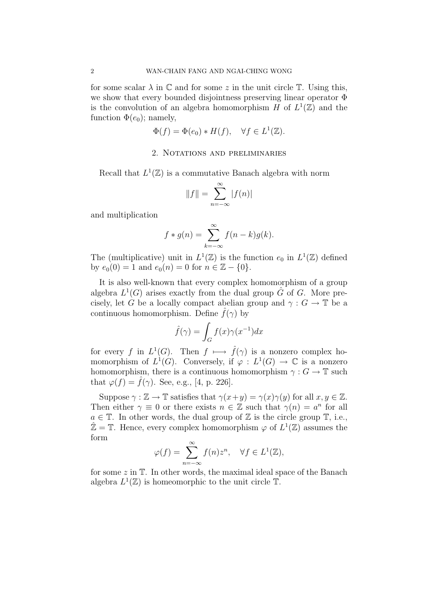for some scalar  $\lambda$  in  $\mathbb C$  and for some z in the unit circle  $\mathbb T$ . Using this, we show that every bounded disjointness preserving linear operator Φ is the convolution of an algebra homomorphism H of  $L^1(\mathbb{Z})$  and the function  $\Phi(e_0)$ ; namely,

$$
\Phi(f) = \Phi(e_0) * H(f), \quad \forall f \in L^1(\mathbb{Z}).
$$

### 2. Notations and preliminaries

Recall that  $L^1(\mathbb{Z})$  is a commutative Banach algebra with norm

$$
||f|| = \sum_{n=-\infty}^{\infty} |f(n)|
$$

and multiplication

$$
f * g(n) = \sum_{k=-\infty}^{\infty} f(n-k)g(k).
$$

The (multiplicative) unit in  $L^1(\mathbb{Z})$  is the function  $e_0$  in  $L^1(\mathbb{Z})$  defined by  $e_0(0) = 1$  and  $e_0(n) = 0$  for  $n \in \mathbb{Z} - \{0\}.$ 

It is also well-known that every complex homomorphism of a group algebra  $L^1(G)$  arises exactly from the dual group  $\hat{G}$  of G. More precisely, let G be a locally compact abelian group and  $\gamma : G \to \mathbb{T}$  be a continuous homomorphism. Define  $\hat{f}(\gamma)$  by

$$
\hat{f}(\gamma) = \int_G f(x)\gamma(x^{-1})dx
$$

for every f in  $L^1(G)$ . Then  $f \mapsto \hat{f}(\gamma)$  is a nonzero complex homomorphism of  $L^1(G)$ . Conversely, if  $\varphi: L^1(G) \to \mathbb{C}$  is a nonzero homomorphism, there is a continuous homomorphism  $\gamma: G \to \mathbb{T}$  such that  $\varphi(f) = f(\gamma)$ . See, e.g., [4, p. 226].

Suppose  $\gamma : \mathbb{Z} \to \mathbb{T}$  satisfies that  $\gamma(x+y) = \gamma(x)\gamma(y)$  for all  $x, y \in \mathbb{Z}$ . Then either  $\gamma \equiv 0$  or there exists  $n \in \mathbb{Z}$  such that  $\gamma(n) = a^n$  for all  $a \in \mathbb{T}$ . In other words, the dual group of  $\mathbb Z$  is the circle group  $\mathbb T$ , i.e.,  $\hat{\mathbb{Z}} = \mathbb{T}$ . Hence, every complex homomorphism  $\varphi$  of  $L^1(\mathbb{Z})$  assumes the form

$$
\varphi(f) = \sum_{n = -\infty}^{\infty} f(n) z^n, \quad \forall f \in L^1(\mathbb{Z}),
$$

for some  $z$  in  $\mathbb{T}$ . In other words, the maximal ideal space of the Banach algebra  $L^1(\mathbb{Z})$  is homeomorphic to the unit circle  $\mathbb{T}$ .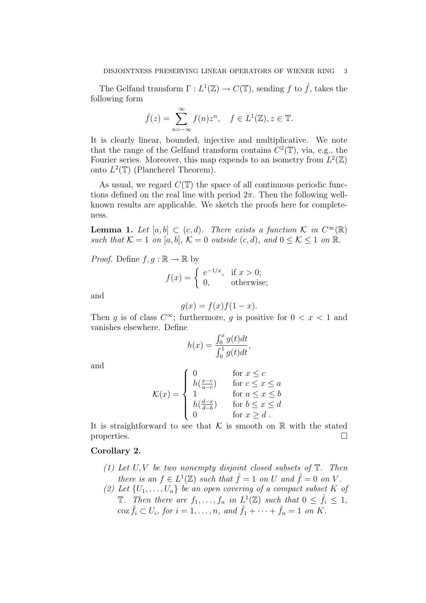The Gelfand transform  $\Gamma: L^1(\mathbb{Z}) \to C(\mathbb{T})$ , sending f to  $\hat{f}$ , takes the following form

$$
\hat{f}(z) = \sum_{n = -\infty}^{\infty} f(n)z^n, \quad f \in L^1(\mathbb{Z}), z \in \mathbb{T}.
$$

It is clearly linear, bounded, injective and multiplicative. We note that the range of the Gelfand transform contains  $C^2(\mathbb{T})$ , via, e.g., the Fourier series. Moreover, this map expends to an isometry from  $L^2(\mathbb{Z})$ onto  $L^2(\mathbb{T})$  (Plancherel Theorem).

As usual, we regard  $C(\mathbb{T})$  the space of all continuous periodic functions defined on the real line with period  $2\pi$ . Then the following wellknown results are applicable. We sketch the proofs here for completeness.

**Lemma 1.** Let  $[a, b] \subset (c, d)$ . There exists a function K in  $C^{\infty}(\mathbb{R})$ such that  $K = 1$  on [a, b],  $K = 0$  outside  $(c, d)$ , and  $0 \leq K \leq 1$  on  $\mathbb{R}$ .

*Proof.* Define  $f, g : \mathbb{R} \to \mathbb{R}$  by

$$
f(x) = \begin{cases} e^{-1/x}, & \text{if } x > 0; \\ 0, & \text{otherwise}; \end{cases}
$$

and

$$
g(x) = f(x)f(1 - x).
$$

Then g is of class  $C^{\infty}$ ; furthermore, g is positive for  $0 < x < 1$  and vanishes elsewhere. Define  $\int f(x)$ 

$$
h(x) = \frac{\int_0^x g(t)dt}{\int_0^1 g(t)dt},
$$

and

$$
\mathcal{K}(x) = \begin{cases}\n0 & \text{for } x \le c \\
h(\frac{x-c}{a-c}) & \text{for } c \le x \le a \\
1 & \text{for } a \le x \le b \\
h(\frac{d-x}{d-b}) & \text{for } b \le x \le d \\
0 & \text{for } x \ge d\n\end{cases}
$$

It is straightforward to see that  $K$  is smooth on  $\mathbb R$  with the stated properties.  $\Box$ 

# Corollary 2.

- (1) Let  $U, V$  be two nonempty disjoint closed subsets of  $T$ . Then there is an  $f \in L^1(\mathbb{Z})$  such that  $\hat{f} = 1$  on U and  $\hat{f} = 0$  on V.
- (2) Let  $\{U_1, \ldots, U_n\}$  be an open covering of a compact subset K of **T**. Then there are  $f_1, \ldots, f_n$  in  $L^1(\mathbb{Z})$  such that  $0 \leq \hat{f}_i \leq 1$ , coz  $\hat{f}_i \subset U_i$ , for  $i = 1, \ldots, n$ , and  $\hat{f}_1 + \cdots + \hat{f}_n = 1$  on K.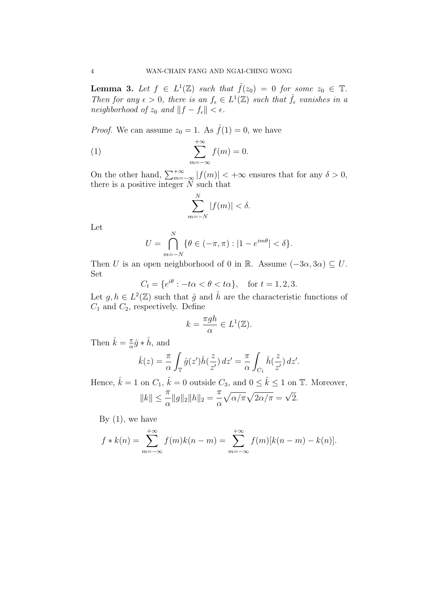**Lemma 3.** Let  $f \in L^1(\mathbb{Z})$  such that  $\hat{f}(z_0) = 0$  for some  $z_0 \in \mathbb{T}$ . Then for any  $\epsilon > 0$ , there is an  $f_{\epsilon} \in L^1(\mathbb{Z})$  such that  $\hat{f}_{\epsilon}$  vanishes in a neighborhood of  $z_0$  and  $||f - f_{\epsilon}|| < \epsilon$ .

*Proof.* We can assume  $z_0 = 1$ . As  $\hat{f}(1) = 0$ , we have

(1) 
$$
\sum_{m=-\infty}^{+\infty} f(m) = 0.
$$

On the other hand,  $\sum_{m=-\infty}^{+\infty} |f(m)| < +\infty$  ensures that for any  $\delta > 0$ , there is a positive integer  $N$  such that

$$
\sum_{m=-N}^{N} |f(m)| < \delta.
$$

Let

$$
U = \bigcap_{m=-N}^{N} \{ \theta \in (-\pi, \pi) : |1 - e^{im\theta}| < \delta \}.
$$

Then U is an open neighborhood of 0 in R. Assume  $(-3\alpha, 3\alpha) \subseteq U$ . Set

$$
C_t = \{e^{i\theta} : -t\alpha < \theta < t\alpha\}, \quad \text{for } t = 1, 2, 3.
$$

Let  $g, h \in L^2(\mathbb{Z})$  such that  $\hat{g}$  and  $\hat{h}$  are the characteristic functions of  $C_1$  and  $C_2$ , respectively. Define

$$
k = \frac{\pi gh}{\alpha} \in L^1(\mathbb{Z}).
$$

Then  $\hat{k} = \frac{\pi}{\alpha}$  $\frac{\pi}{\alpha}\hat{g} * \hat{h}$ , and

$$
\hat{k}(z) = \frac{\pi}{\alpha} \int_{\mathbb{T}} \hat{g}(z') \hat{h}(\frac{z}{z'}) dz' = \frac{\pi}{\alpha} \int_{C_1} \hat{h}(\frac{z}{z'}) dz'.
$$

Hence,  $\hat{k} = 1$  on  $C_1$ ,  $\hat{k} = 0$  outside  $C_3$ , and  $0 \leq \hat{k} \leq 1$  on  $\mathbb{T}$ . Moreover,

$$
||k|| \leq \frac{\pi}{\alpha} ||g||_2 ||h||_2 = \frac{\pi}{\alpha} \sqrt{\alpha/\pi} \sqrt{2\alpha/\pi} = \sqrt{2}.
$$

By  $(1)$ , we have

$$
f * k(n) = \sum_{m=-\infty}^{+\infty} f(m)k(n-m) = \sum_{m=-\infty}^{+\infty} f(m)[k(n-m) - k(n)].
$$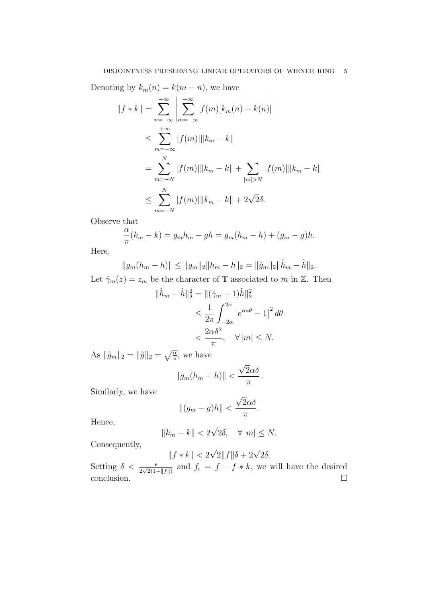Denoting by  $k_m(n) = k(m - n)$ , we have

$$
||f * k|| = \sum_{n=-\infty}^{+\infty} \left| \sum_{m=-\infty}^{+\infty} f(m)[k_m(n) - k(n)] \right|
$$
  
\n
$$
\leq \sum_{m=-\infty}^{+\infty} |f(m)||k_m - k||
$$
  
\n
$$
= \sum_{m=-N}^{N} |f(m)||k_m - k|| + \sum_{|m|>N} |f(m)||k_m - k||
$$
  
\n
$$
\leq \sum_{m=-N}^{N} |f(m)||k_m - k|| + 2\sqrt{2}\delta.
$$

Observe that

$$
\frac{\alpha}{\pi}(k_m - k) = g_m h_m - gh = g_m (h_m - h) + (g_m - g)h.
$$

Here,

$$
||g_m(h_m - h)|| \le ||g_m||_2 ||h_m - h||_2 = ||\hat{g}_m||_2 ||\hat{h}_m - \hat{h}||_2.
$$

Let  $\hat{\gamma}_m(z) = z_m$  be the character of T associated to m in Z. Then

$$
\|\hat{h}_m - \hat{h}\|_2^2 = \|(\hat{\gamma}_m - 1)\hat{h}\|_2^2
$$
  
\n
$$
\leq \frac{1}{2\pi} \int_{-2\alpha}^{2\alpha} |e^{im\theta} - 1|^2 d\theta
$$
  
\n
$$
< \frac{2\alpha\delta^2}{\pi}, \quad \forall |m| \leq N.
$$

As  $\|\hat{g}_m\|_2 = \|\hat{g}\|_2 = \sqrt{\frac{\alpha}{\pi}}$  $\frac{\overline{\alpha}}{\pi}$ , we have

$$
||g_m(h_m - h)|| < \frac{\sqrt{2}\alpha\delta}{\pi}.
$$

Similarly, we have

$$
||(g_m - g)h|| < \frac{\sqrt{2}\alpha\delta}{\pi}.
$$

Hence,

$$
||k_m - k|| < 2\sqrt{2}\delta, \quad \forall |m| \le N.
$$

Consequently,

$$
||f*k|| < 2\sqrt{2}||f||\delta + 2\sqrt{2}\delta.
$$

Setting  $\delta < \frac{\epsilon}{2\sqrt{2}(1+\|f\|)}$  and  $f_{\epsilon} = f - f * k$ , we will have the desired  $\Box$ conclusion.  $\Box$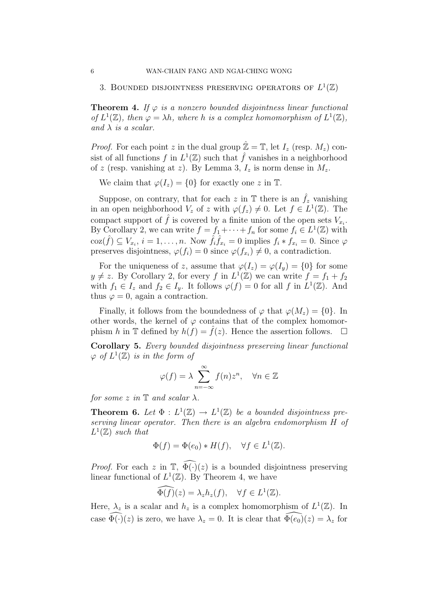# 3. BOUNDED DISJOINTNESS PRESERVING OPERATORS OF  $L^1(\mathbb{Z})$

**Theorem 4.** If  $\varphi$  is a nonzero bounded disjointness linear functional of  $L^1(\mathbb{Z})$ , then  $\varphi = \lambda h$ , where h is a complex homomorphism of  $L^1(\mathbb{Z})$ , and  $\lambda$  is a scalar.

*Proof.* For each point z in the dual group  $\mathbb{Z} = \mathbb{T}$ , let  $I_z$  (resp.  $M_z$ ) consist of all functions f in  $L^1(\mathbb{Z})$  such that  $\hat{f}$  vanishes in a neighborhood of z (resp. vanishing at z). By Lemma 3,  $I_z$  is norm dense in  $M_z$ .

We claim that  $\varphi(I_z) = \{0\}$  for exactly one z in T.

Suppose, on contrary, that for each z in  $\mathbb T$  there is an  $\hat{f}_z$  vanishing in an open neighborhood  $V_z$  of z with  $\varphi(f_z) \neq 0$ . Let  $f \in L^1(\mathbb{Z})$ . The compact support of  $\hat{f}$  is covered by a finite union of the open sets  $V_{x_i}$ . By Corollary 2, we can write  $f = f_1 + \cdots + f_n$  for some  $f_i \in L^1(\mathbb{Z})$  with  $\cos(\hat{f}) \subseteq V_{x_i}, i = 1, \ldots, n$ . Now  $\hat{f}_i \hat{f}_{x_i} = 0$  implies  $f_i * f_{x_i} = 0$ . Since  $\varphi$ preserves disjointness,  $\varphi(f_i) = 0$  since  $\varphi(f_{x_i}) \neq 0$ , a contradiction.

For the uniqueness of z, assume that  $\varphi(I_z) = \varphi(I_y) = \{0\}$  for some  $y \neq z$ . By Corollary 2, for every f in  $L^1(\mathbb{Z})$  we can write  $f = f_1 + f_2$ with  $f_1 \in I_z$  and  $f_2 \in I_y$ . It follows  $\varphi(f) = 0$  for all f in  $L^1(\mathbb{Z})$ . And thus  $\varphi = 0$ , again a contraction.

Finally, it follows from the boundedness of  $\varphi$  that  $\varphi(M_z) = \{0\}$ . In other words, the kernel of  $\varphi$  contains that of the complex homomorphism h in T defined by  $h(f) = f(z)$ . Hence the assertion follows.  $\Box$ 

Corollary 5. Every bounded disjointness preserving linear functional  $\varphi$  of  $L^1(\mathbb{Z})$  is in the form of

$$
\varphi(f) = \lambda \sum_{n = -\infty}^{\infty} f(n) z^n, \quad \forall n \in \mathbb{Z}
$$

for some z in  $\mathbb T$  and scalar  $\lambda$ .

**Theorem 6.** Let  $\Phi: L^1(\mathbb{Z}) \to L^1(\mathbb{Z})$  be a bounded disjointness preserving linear operator. Then there is an algebra endomorphism H of  $L^1(\mathbb{Z})$  such that

$$
\Phi(f) = \Phi(e_0) * H(f), \quad \forall f \in L^1(\mathbb{Z}).
$$

*Proof.* For each z in  $\mathbb{T}$ ,  $\widehat{\Phi(\cdot)}(z)$  is a bounded disjointness preserving linear functional of  $L^1(\mathbb{Z})$ . By Theorem 4, we have

$$
\widehat{\Phi(f)}(z) = \lambda_z h_z(f), \quad \forall f \in L^1(\mathbb{Z}).
$$

Here,  $\lambda_z$  is a scalar and  $h_z$  is a complex homomorphism of  $L^1(\mathbb{Z})$ . In case  $\widehat{\Phi(\cdot)}(z)$  is zero, we have  $\lambda_z = 0$ . It is clear that  $\widehat{\Phi(e_0)}(z) = \lambda_z$  for